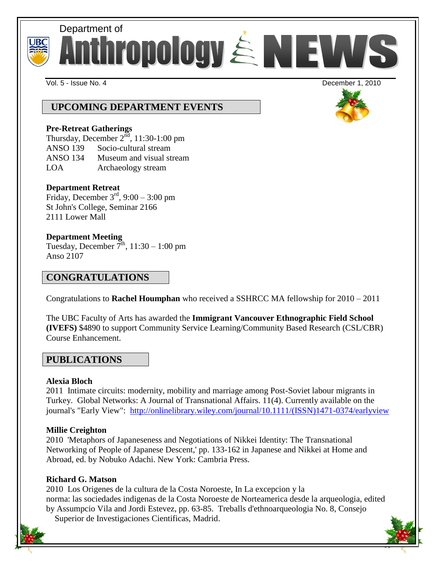



Vol. 5 - Issue No. 4 December 1, 2010

# **UPCOMING DEPARTMENT EVENTS**

### **Pre-Retreat Gatherings**

Thursday, December  $2^{\tilde{nd}}$ , 11:30-1:00 pm ANSO 139 Socio-cultural stream ANSO 134 Museum and visual stream LOA Archaeology stream

## **Department Retreat**

Friday, December  $3<sup>rd</sup>$ , 9:00 – 3:00 pm St John's College, Seminar 2166 2111 Lower Mall

## **Department Meeting**

Tuesday, December  $\overline{7}^{\text{th}}$ , 11:30 – 1:00 pm Anso 2107

## **CONGRATULATIONS**

Congratulations to **Rachel Houmphan** who received a SSHRCC MA fellowship for 2010 – 2011

The UBC Faculty of Arts has awarded the **Immigrant Vancouver Ethnographic Field School (IVEFS)** \$4890 to support Community Service Learning/Community Based Research (CSL/CBR) Course Enhancement.

## **PUBLICATIONS**

## **Alexia Bloch**

2011 Intimate circuits: modernity, mobility and marriage among Post-Soviet labour migrants in Turkey. Global Networks: A Journal of Transnational Affairs. 11(4). Currently available on the journal's "Early View": [http://onlinelibrary.wiley.com/journal/10.1111/\(ISSN\)1471-0374/earlyview](http://onlinelibrary.wiley.com/journal/10.1111/(ISSN)1471-0374/earlyview)

## **Millie Creighton**

2010 'Metaphors of Japaneseness and Negotiations of Nikkei Identity: The Transnational Networking of People of Japanese Descent,' pp. 133-162 in Japanese and Nikkei at Home and Abroad, ed. by Nobuko Adachi. New York: Cambria Press.

## **Richard G. Matson**

2010 Los Origenes de la cultura de la Costa Noroeste, In La excepcion y la norma: las sociedades indigenas de la Costa Noroeste de Norteamerica desde la arqueologia, edited by Assumpcio Vila and Jordi Estevez, pp. 63-85. Treballs d'ethnoarqueologia No. 8, Consejo Superior de Investigaciones Cientificas, Madrid.

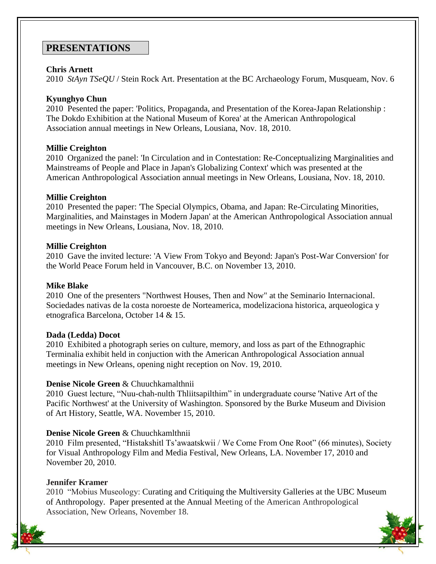## **PRESENTATIONS**

### **Chris Arnett**

2010 *StAyn TSeQU* / Stein Rock Art. Presentation at the BC Archaeology Forum, Musqueam, Nov. 6

### **Kyunghyo Chun**

2010 Pesented the paper: 'Politics, Propaganda, and Presentation of the Korea-Japan Relationship : The Dokdo Exhibition at the National Museum of Korea' at the American Anthropological Association annual meetings in New Orleans, Lousiana, Nov. 18, 2010.

### **Millie Creighton**

2010 Organized the panel: 'In Circulation and in Contestation: Re-Conceptualizing Marginalities and Mainstreams of People and Place in Japan's Globalizing Context' which was presented at the American Anthropological Association annual meetings in New Orleans, Lousiana, Nov. 18, 2010.

### **Millie Creighton**

2010 Presented the paper: 'The Special Olympics, Obama, and Japan: Re-Circulating Minorities, Marginalities, and Mainstages in Modern Japan' at the American Anthropological Association annual meetings in New Orleans, Lousiana, Nov. 18, 2010.

### **Millie Creighton**

2010 Gave the invited lecture: 'A View From Tokyo and Beyond: Japan's Post-War Conversion' for the World Peace Forum held in Vancouver, B.C. on November 13, 2010.

#### **Mike Blake**

2010 One of the presenters "Northwest Houses, Then and Now" at the Seminario Internacional. Sociedades nativas de la costa noroeste de Norteamerica, modelizaciona historica, arqueologica y etnografica Barcelona, October 14 & 15.

#### **Dada (Ledda) Docot**

2010 Exhibited a photograph series on culture, memory, and loss as part of the Ethnographic Terminalia exhibit held in conjuction with the American Anthropological Association annual meetings in New Orleans, opening night reception on Nov. 19, 2010.

## **Denise Nicole Green** & Chuuchkamalthnii

2010 Guest lecture, "Nuu-chah-nulth Thliitsapilthim" in undergraduate course 'Native Art of the Pacific Northwest' at the University of Washington. Sponsored by the Burke Museum and Division of Art History, Seattle, WA. November 15, 2010.

## **Denise Nicole Green** & Chuuchkamlthnii

2010 Film presented, "Histakshitl Ts'awaatskwii / We Come From One Root" (66 minutes), Society for Visual Anthropology Film and Media Festival, New Orleans, LA. November 17, 2010 and November 20, 2010.

#### **Jennifer Kramer**

2010 "Mobius Museology: Curating and Critiquing the Multiversity Galleries at the UBC Museum of Anthropology. Paper presented at the Annual Meeting of the American Anthropological Association, New Orleans, November 18.

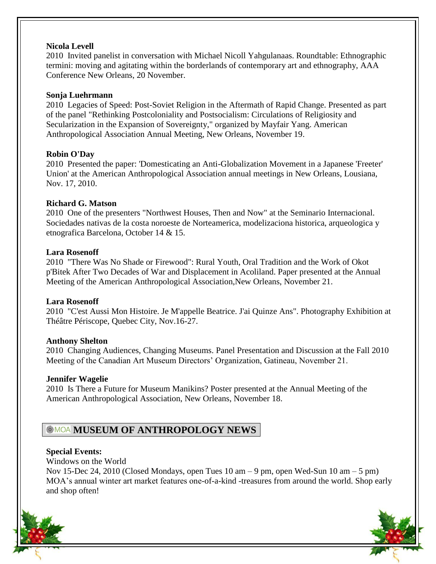### **Nicola Levell**

2010 Invited panelist in conversation with Michael Nicoll Yahgulanaas. Roundtable: Ethnographic termini: moving and agitating within the borderlands of contemporary art and ethnography, AAA Conference New Orleans, 20 November.

### **Sonja Luehrmann**

2010 Legacies of Speed: Post-Soviet Religion in the Aftermath of Rapid Change. Presented as part of the panel "Rethinking Postcoloniality and Postsocialism: Circulations of Religiosity and Secularization in the Expansion of Sovereignty," organized by Mayfair Yang. American Anthropological Association Annual Meeting, New Orleans, November 19.

### **Robin O'Day**

2010 Presented the paper: 'Domesticating an Anti-Globalization Movement in a Japanese 'Freeter' Union' at the American Anthropological Association annual meetings in New Orleans, Lousiana, Nov. 17, 2010.

### **Richard G. Matson**

2010 One of the presenters "Northwest Houses, Then and Now" at the Seminario Internacional. Sociedades nativas de la costa noroeste de Norteamerica, modelizaciona historica, arqueologica y etnografica Barcelona, October 14 & 15.

### **Lara Rosenoff**

2010 "There Was No Shade or Firewood": Rural Youth, Oral Tradition and the Work of Okot p'Bitek After Two Decades of War and Displacement in Acoliland. Paper presented at the Annual Meeting of the American Anthropological Association,New Orleans, November 21.

## **Lara Rosenoff**

2010 "C'est Aussi Mon Histoire. Je M'appelle Beatrice. J'ai Quinze Ans". Photography Exhibition at Théâtre Périscope, Quebec City, Nov.16-27.

## **Anthony Shelton**

2010 Changing Audiences, Changing Museums. Panel Presentation and Discussion at the Fall 2010 Meeting of the Canadian Art Museum Directors' Organization, Gatineau, November 21.

## **Jennifer Wagelie**

2010 Is There a Future for Museum Manikins? Poster presented at the Annual Meeting of the American Anthropological Association, New Orleans, November 18.

# **MOA MUSEUM OF ANTHROPOLOGY NEWS**

## **Special Events:**

Windows on the World

Nov 15-Dec 24, 2010 (Closed Mondays, open Tues  $10 \text{ am} - 9 \text{ pm}$ , open Wed-Sun  $10 \text{ am} - 5 \text{ pm}$ ) MOA's annual winter art market features one-of-a-kind -treasures from around the world. Shop early and shop often!